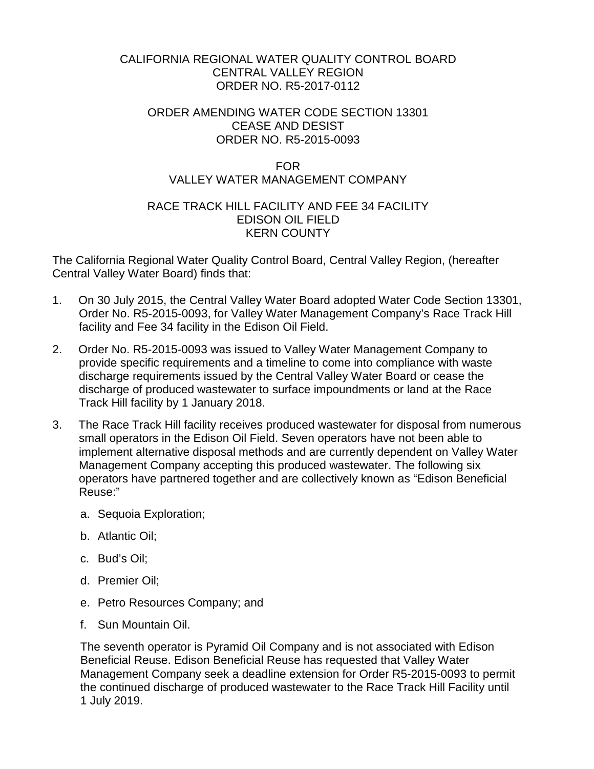# CALIFORNIA REGIONAL WATER QUALITY CONTROL BOARD CENTRAL VALLEY REGION ORDER NO. R5-2017-0112

# ORDER AMENDING WATER CODE SECTION 13301 CEASE AND DESIST ORDER NO. R5-2015-0093

# FOR VALLEY WATER MANAGEMENT COMPANY

# RACE TRACK HILL FACILITY AND FEE 34 FACILITY EDISON OIL FIELD KERN COUNTY

The California Regional Water Quality Control Board, Central Valley Region, (hereafter Central Valley Water Board) finds that:

- 1. On 30 July 2015, the Central Valley Water Board adopted Water Code Section 13301, Order No. R5-2015-0093, for Valley Water Management Company's Race Track Hill facility and Fee 34 facility in the Edison Oil Field.
- 2. Order No. R5-2015-0093 was issued to Valley Water Management Company to provide specific requirements and a timeline to come into compliance with waste discharge requirements issued by the Central Valley Water Board or cease the discharge of produced wastewater to surface impoundments or land at the Race Track Hill facility by 1 January 2018.
- 3. The Race Track Hill facility receives produced wastewater for disposal from numerous small operators in the Edison Oil Field. Seven operators have not been able to implement alternative disposal methods and are currently dependent on Valley Water Management Company accepting this produced wastewater. The following six operators have partnered together and are collectively known as "Edison Beneficial Reuse:"
	- a. Sequoia Exploration;
	- b. Atlantic Oil;
	- c. Bud's Oil;
	- d. Premier Oil;
	- e. Petro Resources Company; and
	- f. Sun Mountain Oil.

The seventh operator is Pyramid Oil Company and is not associated with Edison Beneficial Reuse. Edison Beneficial Reuse has requested that Valley Water Management Company seek a deadline extension for Order R5-2015-0093 to permit the continued discharge of produced wastewater to the Race Track Hill Facility until 1 July 2019.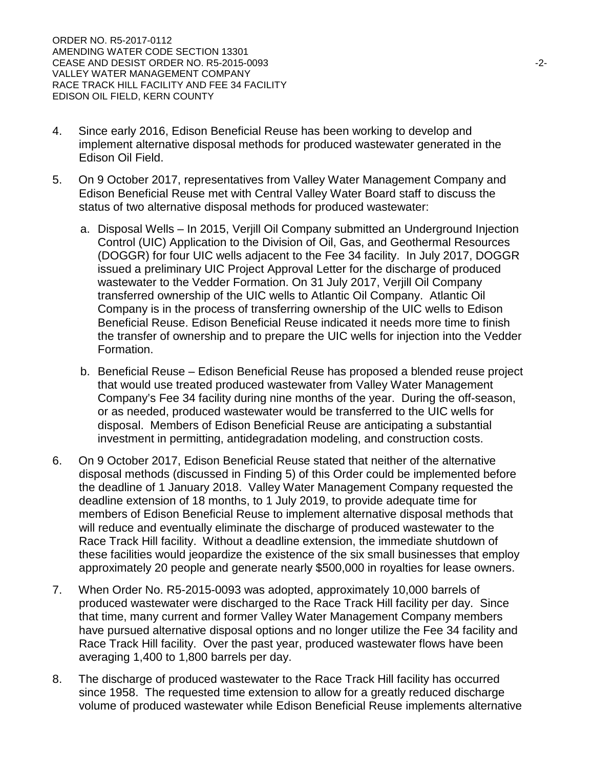- 4. Since early 2016, Edison Beneficial Reuse has been working to develop and implement alternative disposal methods for produced wastewater generated in the Edison Oil Field.
- 5. On 9 October 2017, representatives from Valley Water Management Company and Edison Beneficial Reuse met with Central Valley Water Board staff to discuss the status of two alternative disposal methods for produced wastewater:
	- a. Disposal Wells In 2015, Verjill Oil Company submitted an Underground Injection Control (UIC) Application to the Division of Oil, Gas, and Geothermal Resources (DOGGR) for four UIC wells adjacent to the Fee 34 facility. In July 2017, DOGGR issued a preliminary UIC Project Approval Letter for the discharge of produced wastewater to the Vedder Formation. On 31 July 2017, Verjill Oil Company transferred ownership of the UIC wells to Atlantic Oil Company. Atlantic Oil Company is in the process of transferring ownership of the UIC wells to Edison Beneficial Reuse. Edison Beneficial Reuse indicated it needs more time to finish the transfer of ownership and to prepare the UIC wells for injection into the Vedder Formation.
	- b. Beneficial Reuse Edison Beneficial Reuse has proposed a blended reuse project that would use treated produced wastewater from Valley Water Management Company's Fee 34 facility during nine months of the year. During the off-season, or as needed, produced wastewater would be transferred to the UIC wells for disposal. Members of Edison Beneficial Reuse are anticipating a substantial investment in permitting, antidegradation modeling, and construction costs.
- 6. On 9 October 2017, Edison Beneficial Reuse stated that neither of the alternative disposal methods (discussed in Finding 5) of this Order could be implemented before the deadline of 1 January 2018. Valley Water Management Company requested the deadline extension of 18 months, to 1 July 2019, to provide adequate time for members of Edison Beneficial Reuse to implement alternative disposal methods that will reduce and eventually eliminate the discharge of produced wastewater to the Race Track Hill facility. Without a deadline extension, the immediate shutdown of these facilities would jeopardize the existence of the six small businesses that employ approximately 20 people and generate nearly \$500,000 in royalties for lease owners.
- 7. When Order No. R5-2015-0093 was adopted, approximately 10,000 barrels of produced wastewater were discharged to the Race Track Hill facility per day. Since that time, many current and former Valley Water Management Company members have pursued alternative disposal options and no longer utilize the Fee 34 facility and Race Track Hill facility. Over the past year, produced wastewater flows have been averaging 1,400 to 1,800 barrels per day.
- 8. The discharge of produced wastewater to the Race Track Hill facility has occurred since 1958. The requested time extension to allow for a greatly reduced discharge volume of produced wastewater while Edison Beneficial Reuse implements alternative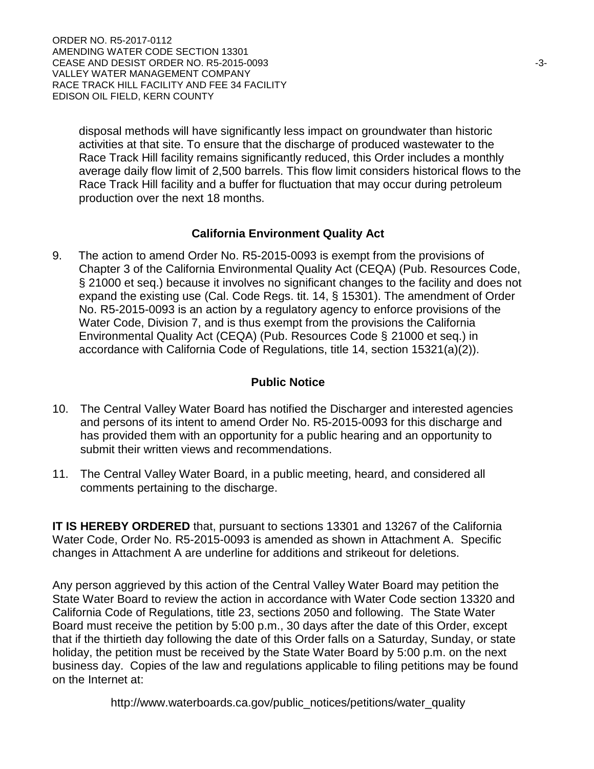ORDER NO. R5-2017-0112 AMENDING WATER CODE SECTION 13301 CEASE AND DESIST ORDER NO. R5-2015-0093 **Alternative Structure 1.3-3-3-3-3-3-3-3-**VALLEY WATER MANAGEMENT COMPANY RACE TRACK HILL FACILITY AND FEE 34 FACILITY EDISON OIL FIELD, KERN COUNTY

disposal methods will have significantly less impact on groundwater than historic activities at that site. To ensure that the discharge of produced wastewater to the Race Track Hill facility remains significantly reduced, this Order includes a monthly average daily flow limit of 2,500 barrels. This flow limit considers historical flows to the Race Track Hill facility and a buffer for fluctuation that may occur during petroleum production over the next 18 months.

#### **California Environment Quality Act**

9. The action to amend Order No. R5-2015-0093 is exempt from the provisions of Chapter 3 of the California Environmental Quality Act (CEQA) (Pub. Resources Code, § 21000 et seq.) because it involves no significant changes to the facility and does not expand the existing use (Cal. Code Regs. tit. 14, § 15301). The amendment of Order No. R5-2015-0093 is an action by a regulatory agency to enforce provisions of the Water Code, Division 7, and is thus exempt from the provisions the California Environmental Quality Act (CEQA) (Pub. Resources Code § 21000 et seq.) in accordance with California Code of Regulations, title 14, section 15321(a)(2)).

## **Public Notice**

- 10. The Central Valley Water Board has notified the Discharger and interested agencies and persons of its intent to amend Order No. R5-2015-0093 for this discharge and has provided them with an opportunity for a public hearing and an opportunity to submit their written views and recommendations.
- 11. The Central Valley Water Board, in a public meeting, heard, and considered all comments pertaining to the discharge.

**IT IS HEREBY ORDERED** that, pursuant to sections 13301 and 13267 of the California Water Code, Order No. R5-2015-0093 is amended as shown in Attachment A. Specific changes in Attachment A are underline for additions and strikeout for deletions.

Any person aggrieved by this action of the Central Valley Water Board may petition the State Water Board to review the action in accordance with Water Code section 13320 and California Code of Regulations, title 23, sections 2050 and following. The State Water Board must receive the petition by 5:00 p.m., 30 days after the date of this Order, except that if the thirtieth day following the date of this Order falls on a Saturday, Sunday, or state holiday, the petition must be received by the State Water Board by 5:00 p.m. on the next business day. Copies of the law and regulations applicable to filing petitions may be found on the Internet at:

http://www.waterboards.ca.gov/public\_notices/petitions/water\_quality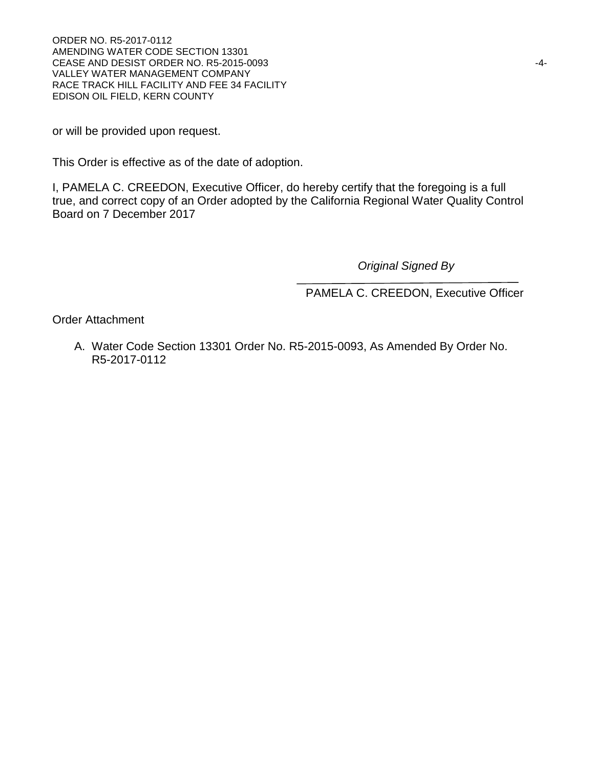ORDER NO. R5-2017-0112 AMENDING WATER CODE SECTION 13301 CEASE AND DESIST ORDER NO. R5-2015-0093 **ACCESSION CONTRACT OR ACCESSION CONTRACT OR ACCESSION** VALLEY WATER MANAGEMENT COMPANY RACE TRACK HILL FACILITY AND FEE 34 FACILITY EDISON OIL FIELD, KERN COUNTY

or will be provided upon request.

This Order is effective as of the date of adoption.

I, PAMELA C. CREEDON, Executive Officer, do hereby certify that the foregoing is a full true, and correct copy of an Order adopted by the California Regional Water Quality Control Board on 7 December 2017

*Original Signed By*

PAMELA C. CREEDON, Executive Officer

Order Attachment

A. Water Code Section 13301 Order No. R5-2015-0093, As Amended By Order No. R5-2017-0112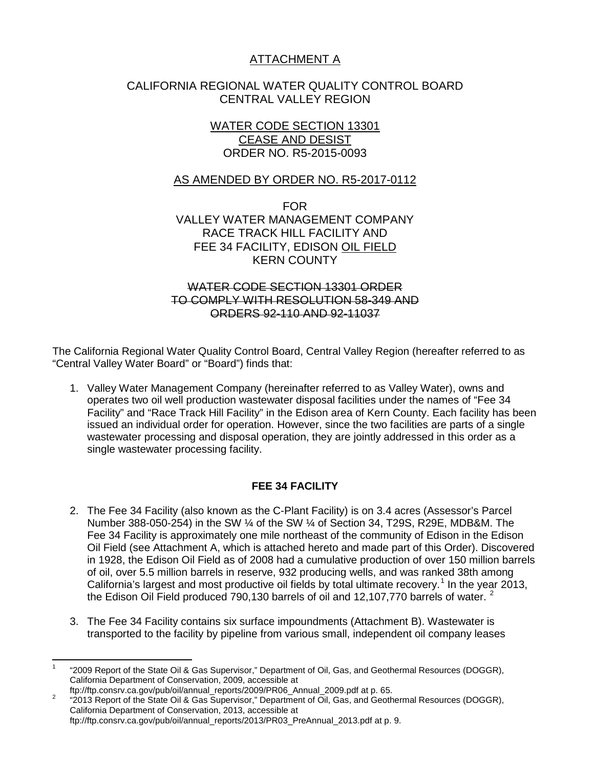# ATTACHMENT A

# CALIFORNIA REGIONAL WATER QUALITY CONTROL BOARD CENTRAL VALLEY REGION

# WATER CODE SECTION 13301 CEASE AND DESIST ORDER NO. R5-2015-0093

# AS AMENDED BY ORDER NO. R5-2017-0112

FOR VALLEY WATER MANAGEMENT COMPANY RACE TRACK HILL FACILITY AND FEE 34 FACILITY, EDISON OIL FIELD KERN COUNTY

#### WATER CODE SECTION 13301 ORDER TO COMPLY WITH RESOLUTION 58-349 AND ORDERS 92-110 AND 92-11037

The California Regional Water Quality Control Board, Central Valley Region (hereafter referred to as "Central Valley Water Board" or "Board") finds that:

1. Valley Water Management Company (hereinafter referred to as Valley Water), owns and operates two oil well production wastewater disposal facilities under the names of "Fee 34 Facility" and "Race Track Hill Facility" in the Edison area of Kern County. Each facility has been issued an individual order for operation. However, since the two facilities are parts of a single wastewater processing and disposal operation, they are jointly addressed in this order as a single wastewater processing facility.

# **FEE 34 FACILITY**

- 2. The Fee 34 Facility (also known as the C-Plant Facility) is on 3.4 acres (Assessor's Parcel Number 388-050-254) in the SW ¼ of the SW ¼ of Section 34, T29S, R29E, MDB&M. The Fee 34 Facility is approximately one mile northeast of the community of Edison in the Edison Oil Field (see Attachment A, which is attached hereto and made part of this Order). Discovered in 1928, the Edison Oil Field as of 2008 had a cumulative production of over 150 million barrels of oil, over 5.5 million barrels in reserve, 932 producing wells, and was ranked 38th among California's largest and most productive oil fields by total ultimate recovery.<sup>[1](#page-4-0)</sup> In the year 2013, the Edison Oil Field produced 790,130 barrels of oil and 1[2](#page-4-1),107,770 barrels of water.  $2$
- 3. The Fee 34 Facility contains six surface impoundments (Attachment B). Wastewater is transported to the facility by pipeline from various small, independent oil company leases

<span id="page-4-0"></span><sup>1</sup> "2009 Report of the State Oil & Gas Supervisor," Department of Oil, Gas, and Geothermal Resources (DOGGR), California Department of Conservation, 2009, accessible at ftp://ftp.consrv.ca.gov/pub/oil/annual\_reports/2009/PR06\_Annual\_2009.pdf at p. 65.

<span id="page-4-1"></span>ftp://ftp.consrucargov/pub/oil/annual\_reports/2009/Prosent.com/2009/Pannual\_2009/Pannual\_Prose.<br><sup>2</sup> "2013 Report of the State Oil & Gas Supervisor," Department of Oil, Gas, and Geothermal Resources (DOGGR), California Department of Conservation, 2013, accessible at ftp://ftp.consrv.ca.gov/pub/oil/annual\_reports/2013/PR03\_PreAnnual\_2013.pdf at p. 9.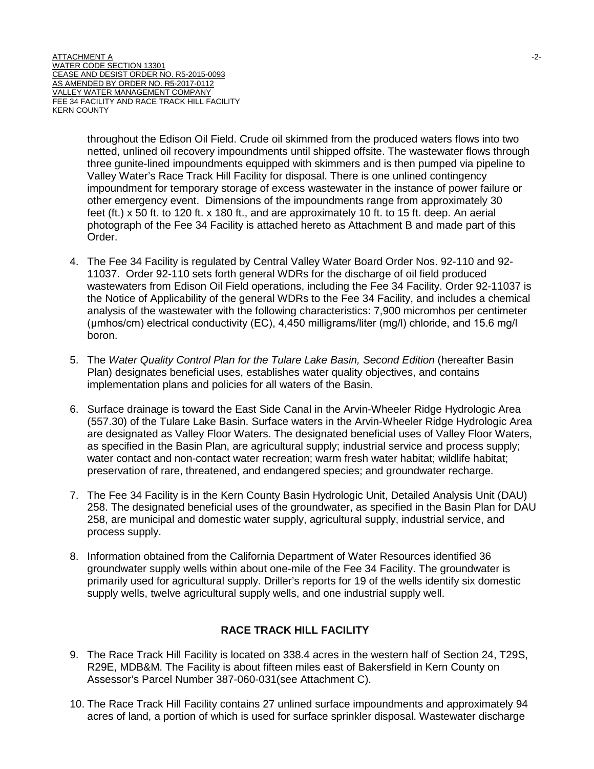throughout the Edison Oil Field. Crude oil skimmed from the produced waters flows into two netted, unlined oil recovery impoundments until shipped offsite. The wastewater flows through three gunite-lined impoundments equipped with skimmers and is then pumped via pipeline to Valley Water's Race Track Hill Facility for disposal. There is one unlined contingency impoundment for temporary storage of excess wastewater in the instance of power failure or other emergency event. Dimensions of the impoundments range from approximately 30 feet (ft.) x 50 ft. to 120 ft. x 180 ft., and are approximately 10 ft. to 15 ft. deep. An aerial photograph of the Fee 34 Facility is attached hereto as Attachment B and made part of this Order.

- 4. The Fee 34 Facility is regulated by Central Valley Water Board Order Nos. 92-110 and 92- 11037. Order 92-110 sets forth general WDRs for the discharge of oil field produced wastewaters from Edison Oil Field operations, including the Fee 34 Facility. Order 92-11037 is the Notice of Applicability of the general WDRs to the Fee 34 Facility, and includes a chemical analysis of the wastewater with the following characteristics: 7,900 micromhos per centimeter (μmhos/cm) electrical conductivity (EC), 4,450 milligrams/liter (mg/l) chloride, and 15.6 mg/l boron.
- 5. The Water Quality Control Plan for the Tulare Lake Basin, Second Edition (hereafter Basin Plan) designates beneficial uses, establishes water quality objectives, and contains implementation plans and policies for all waters of the Basin.
- 6. Surface drainage is toward the East Side Canal in the Arvin-Wheeler Ridge Hydrologic Area (557.30) of the Tulare Lake Basin. Surface waters in the Arvin-Wheeler Ridge Hydrologic Area are designated as Valley Floor Waters. The designated beneficial uses of Valley Floor Waters, as specified in the Basin Plan, are agricultural supply; industrial service and process supply; water contact and non-contact water recreation; warm fresh water habitat; wildlife habitat; preservation of rare, threatened, and endangered species; and groundwater recharge.
- 7. The Fee 34 Facility is in the Kern County Basin Hydrologic Unit, Detailed Analysis Unit (DAU) 258. The designated beneficial uses of the groundwater, as specified in the Basin Plan for DAU 258, are municipal and domestic water supply, agricultural supply, industrial service, and process supply.
- 8. Information obtained from the California Department of Water Resources identified 36 groundwater supply wells within about one-mile of the Fee 34 Facility. The groundwater is primarily used for agricultural supply. Driller's reports for 19 of the wells identify six domestic supply wells, twelve agricultural supply wells, and one industrial supply well.

# **RACE TRACK HILL FACILITY**

- 9. The Race Track Hill Facility is located on 338.4 acres in the western half of Section 24, T29S, R29E, MDB&M. The Facility is about fifteen miles east of Bakersfield in Kern County on Assessor's Parcel Number 387-060-031(see Attachment C).
- 10. The Race Track Hill Facility contains 27 unlined surface impoundments and approximately 94 acres of land, a portion of which is used for surface sprinkler disposal. Wastewater discharge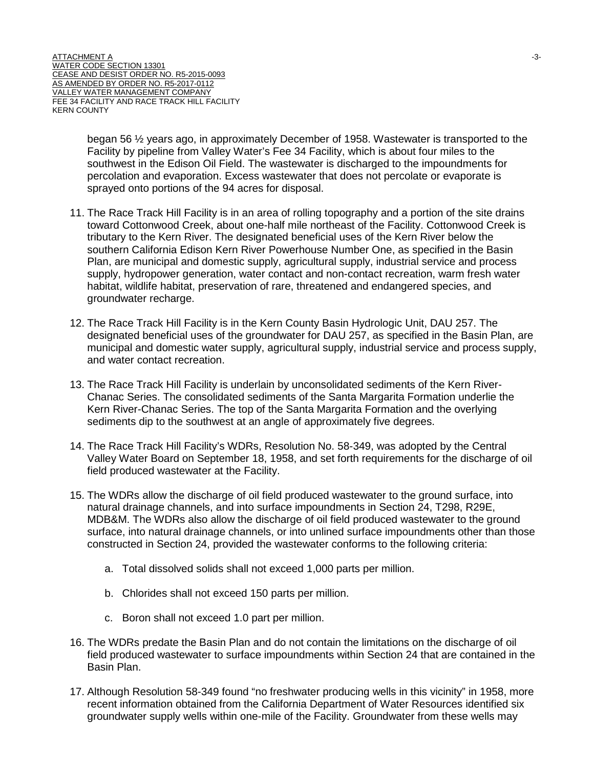began 56 ½ years ago, in approximately December of 1958. Wastewater is transported to the Facility by pipeline from Valley Water's Fee 34 Facility, which is about four miles to the southwest in the Edison Oil Field. The wastewater is discharged to the impoundments for percolation and evaporation. Excess wastewater that does not percolate or evaporate is sprayed onto portions of the 94 acres for disposal.

- 11. The Race Track Hill Facility is in an area of rolling topography and a portion of the site drains toward Cottonwood Creek, about one-half mile northeast of the Facility. Cottonwood Creek is tributary to the Kern River. The designated beneficial uses of the Kern River below the southern California Edison Kern River Powerhouse Number One, as specified in the Basin Plan, are municipal and domestic supply, agricultural supply, industrial service and process supply, hydropower generation, water contact and non-contact recreation, warm fresh water habitat, wildlife habitat, preservation of rare, threatened and endangered species, and groundwater recharge.
- 12. The Race Track Hill Facility is in the Kern County Basin Hydrologic Unit, DAU 257. The designated beneficial uses of the groundwater for DAU 257, as specified in the Basin Plan, are municipal and domestic water supply, agricultural supply, industrial service and process supply, and water contact recreation.
- 13. The Race Track Hill Facility is underlain by unconsolidated sediments of the Kern River-Chanac Series. The consolidated sediments of the Santa Margarita Formation underlie the Kern River-Chanac Series. The top of the Santa Margarita Formation and the overlying sediments dip to the southwest at an angle of approximately five degrees.
- 14. The Race Track Hill Facility's WDRs, Resolution No. 58-349, was adopted by the Central Valley Water Board on September 18, 1958, and set forth requirements for the discharge of oil field produced wastewater at the Facility.
- 15. The WDRs allow the discharge of oil field produced wastewater to the ground surface, into natural drainage channels, and into surface impoundments in Section 24, T298, R29E, MDB&M. The WDRs also allow the discharge of oil field produced wastewater to the ground surface, into natural drainage channels, or into unlined surface impoundments other than those constructed in Section 24, provided the wastewater conforms to the following criteria:
	- a. Total dissolved solids shall not exceed 1,000 parts per million.
	- b. Chlorides shall not exceed 150 parts per million.
	- c. Boron shall not exceed 1.0 part per million.
- 16. The WDRs predate the Basin Plan and do not contain the limitations on the discharge of oil field produced wastewater to surface impoundments within Section 24 that are contained in the Basin Plan.
- 17. Although Resolution 58-349 found "no freshwater producing wells in this vicinity" in 1958, more recent information obtained from the California Department of Water Resources identified six groundwater supply wells within one-mile of the Facility. Groundwater from these wells may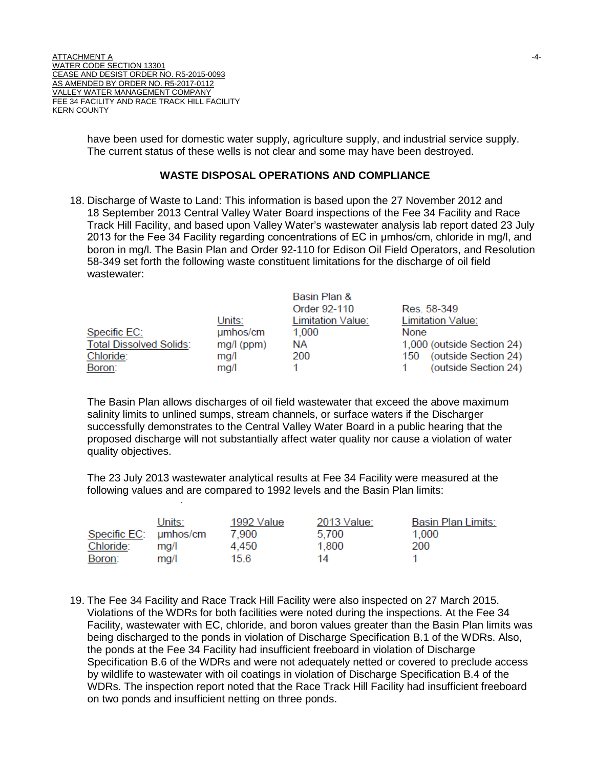have been used for domestic water supply, agriculture supply, and industrial service supply. The current status of these wells is not clear and some may have been destroyed.

#### **WASTE DISPOSAL OPERATIONS AND COMPLIANCE**

18. Discharge of Waste to Land: This information is based upon the 27 November 2012 and 18 September 2013 Central Valley Water Board inspections of the Fee 34 Facility and Race Track Hill Facility, and based upon Valley Water's wastewater analysis lab report dated 23 July 2013 for the Fee 34 Facility regarding concentrations of EC in μmhos/cm, chloride in mg/l, and boron in mg/l. The Basin Plan and Order 92-110 for Edison Oil Field Operators, and Resolution 58-349 set forth the following waste constituent limitations for the discharge of oil field wastewater:

|                                |              | Basin Plan &      |                             |
|--------------------------------|--------------|-------------------|-----------------------------|
|                                |              | Order 92-110      | Res. 58-349                 |
|                                | Units:       | Limitation Value: | Limitation Value:           |
| Specific EC:                   | umhos/cm     | 1,000             | None                        |
| <b>Total Dissolved Solids:</b> | $mg/l$ (ppm) | <b>NA</b>         | 1,000 (outside Section 24)  |
| Chloride:                      | mg/l         | 200               | (outside Section 24)<br>150 |
| Boron:                         | mq/l         |                   | (outside Section 24)        |

The Basin Plan allows discharges of oil field wastewater that exceed the above maximum salinity limits to unlined sumps, stream channels, or surface waters if the Discharger successfully demonstrates to the Central Valley Water Board in a public hearing that the proposed discharge will not substantially affect water quality nor cause a violation of water quality objectives.

The 23 July 2013 wastewater analytical results at Fee 34 Facility were measured at the following values and are compared to 1992 levels and the Basin Plan limits:

|                       | Units: | 1992 Value | 2013 Value: | Basin Plan Limits: |
|-----------------------|--------|------------|-------------|--------------------|
| Specific EC: umhos/cm |        | 7.900      | 5.700       | 1.000              |
| Chloride:             | ma/l   | 4.450      | 1.800       | 200                |
| Boron:                | ma/l   | 15.6       | 14          |                    |

19. The Fee 34 Facility and Race Track Hill Facility were also inspected on 27 March 2015. Violations of the WDRs for both facilities were noted during the inspections. At the Fee 34 Facility, wastewater with EC, chloride, and boron values greater than the Basin Plan limits was being discharged to the ponds in violation of Discharge Specification B.1 of the WDRs. Also, the ponds at the Fee 34 Facility had insufficient freeboard in violation of Discharge Specification B.6 of the WDRs and were not adequately netted or covered to preclude access by wildlife to wastewater with oil coatings in violation of Discharge Specification B.4 of the WDRs. The inspection report noted that the Race Track Hill Facility had insufficient freeboard on two ponds and insufficient netting on three ponds.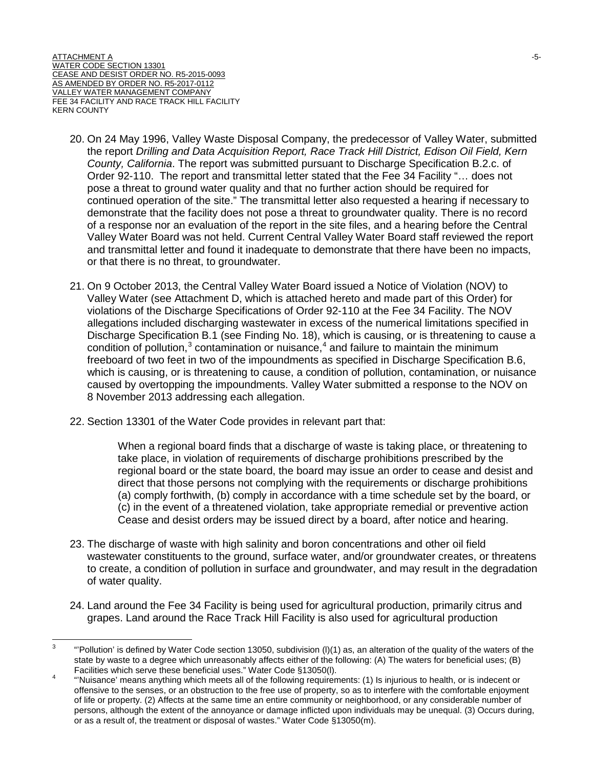- 20. On 24 May 1996, Valley Waste Disposal Company, the predecessor of Valley Water, submitted the report *Drilling and Data Acquisition Report, Race Track Hill District, Edison Oil Field, Kern County, California*. The report was submitted pursuant to Discharge Specification B.2.c. of Order 92-110. The report and transmittal letter stated that the Fee 34 Facility "… does not pose a threat to ground water quality and that no further action should be required for continued operation of the site." The transmittal letter also requested a hearing if necessary to demonstrate that the facility does not pose a threat to groundwater quality. There is no record of a response nor an evaluation of the report in the site files, and a hearing before the Central Valley Water Board was not held. Current Central Valley Water Board staff reviewed the report and transmittal letter and found it inadequate to demonstrate that there have been no impacts, or that there is no threat, to groundwater.
- 21. On 9 October 2013, the Central Valley Water Board issued a Notice of Violation (NOV) to Valley Water (see Attachment D, which is attached hereto and made part of this Order) for violations of the Discharge Specifications of Order 92-110 at the Fee 34 Facility. The NOV allegations included discharging wastewater in excess of the numerical limitations specified in Discharge Specification B.1 (see Finding No. 18), which is causing, or is threatening to cause a condition of pollution, $3$  contamination or nuisance, $4$  and failure to maintain the minimum freeboard of two feet in two of the impoundments as specified in Discharge Specification B.6, which is causing, or is threatening to cause, a condition of pollution, contamination, or nuisance caused by overtopping the impoundments. Valley Water submitted a response to the NOV on 8 November 2013 addressing each allegation.
- 22. Section 13301 of the Water Code provides in relevant part that:

When a regional board finds that a discharge of waste is taking place, or threatening to take place, in violation of requirements of discharge prohibitions prescribed by the regional board or the state board, the board may issue an order to cease and desist and direct that those persons not complying with the requirements or discharge prohibitions (a) comply forthwith, (b) comply in accordance with a time schedule set by the board, or (c) in the event of a threatened violation, take appropriate remedial or preventive action Cease and desist orders may be issued direct by a board, after notice and hearing.

- 23. The discharge of waste with high salinity and boron concentrations and other oil field wastewater constituents to the ground, surface water, and/or groundwater creates, or threatens to create, a condition of pollution in surface and groundwater, and may result in the degradation of water quality.
- 24. Land around the Fee 34 Facility is being used for agricultural production, primarily citrus and grapes. Land around the Race Track Hill Facility is also used for agricultural production

<span id="page-8-0"></span> $3$  "Pollution' is defined by Water Code section 13050, subdivision (I)(1) as, an alteration of the quality of the waters of the state by waste to a degree which unreasonably affects either of the following: (A) The waters for beneficial uses; (B)<br>Facilities which serve these beneficial uses." Water Code §13050(I).

<span id="page-8-1"></span>Facilities which serve these beneficial uses. Water Code §130500(i).<br>"Water Water Musiance' means anything which meets all of the following requirements: (1) Is injurious to health, or is indecent or offensive to the senses, or an obstruction to the free use of property, so as to interfere with the comfortable enjoyment of life or property. (2) Affects at the same time an entire community or neighborhood, or any considerable number of persons, although the extent of the annoyance or damage inflicted upon individuals may be unequal. (3) Occurs during, or as a result of, the treatment or disposal of wastes." Water Code §13050(m).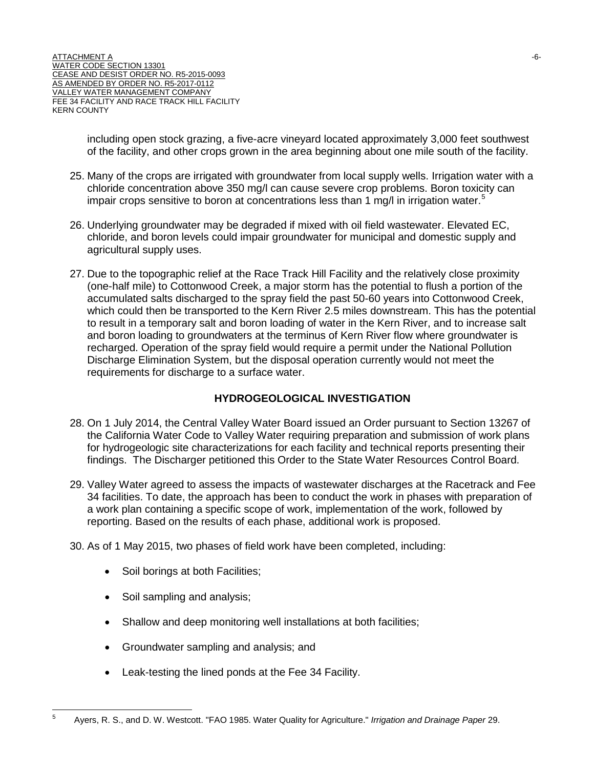including open stock grazing, a five-acre vineyard located approximately 3,000 feet southwest of the facility, and other crops grown in the area beginning about one mile south of the facility.

- 25. Many of the crops are irrigated with groundwater from local supply wells. Irrigation water with a chloride concentration above 350 mg/l can cause severe crop problems. Boron toxicity can impair crops sensitive to boron at concentrations less than 1 mg/l in irrigation water.<sup>[5](#page-9-0)</sup>
- 26. Underlying groundwater may be degraded if mixed with oil field wastewater. Elevated EC, chloride, and boron levels could impair groundwater for municipal and domestic supply and agricultural supply uses.
- 27. Due to the topographic relief at the Race Track Hill Facility and the relatively close proximity (one-half mile) to Cottonwood Creek, a major storm has the potential to flush a portion of the accumulated salts discharged to the spray field the past 50-60 years into Cottonwood Creek, which could then be transported to the Kern River 2.5 miles downstream. This has the potential to result in a temporary salt and boron loading of water in the Kern River, and to increase salt and boron loading to groundwaters at the terminus of Kern River flow where groundwater is recharged. Operation of the spray field would require a permit under the National Pollution Discharge Elimination System, but the disposal operation currently would not meet the requirements for discharge to a surface water.

# **HYDROGEOLOGICAL INVESTIGATION**

- 28. On 1 July 2014, the Central Valley Water Board issued an Order pursuant to Section 13267 of the California Water Code to Valley Water requiring preparation and submission of work plans for hydrogeologic site characterizations for each facility and technical reports presenting their findings. The Discharger petitioned this Order to the State Water Resources Control Board.
- 29. Valley Water agreed to assess the impacts of wastewater discharges at the Racetrack and Fee 34 facilities. To date, the approach has been to conduct the work in phases with preparation of a work plan containing a specific scope of work, implementation of the work, followed by reporting. Based on the results of each phase, additional work is proposed.
- 30. As of 1 May 2015, two phases of field work have been completed, including:
	- Soil borings at both Facilities;
	- Soil sampling and analysis;
	- Shallow and deep monitoring well installations at both facilities;
	- Groundwater sampling and analysis; and
	- Leak-testing the lined ponds at the Fee 34 Facility.

<span id="page-9-0"></span><sup>5</sup> Ayers, R. S., and D. W. Westcott. "FAO 1985. Water Quality for Agriculture." *Irrigation and Drainage Paper* 29.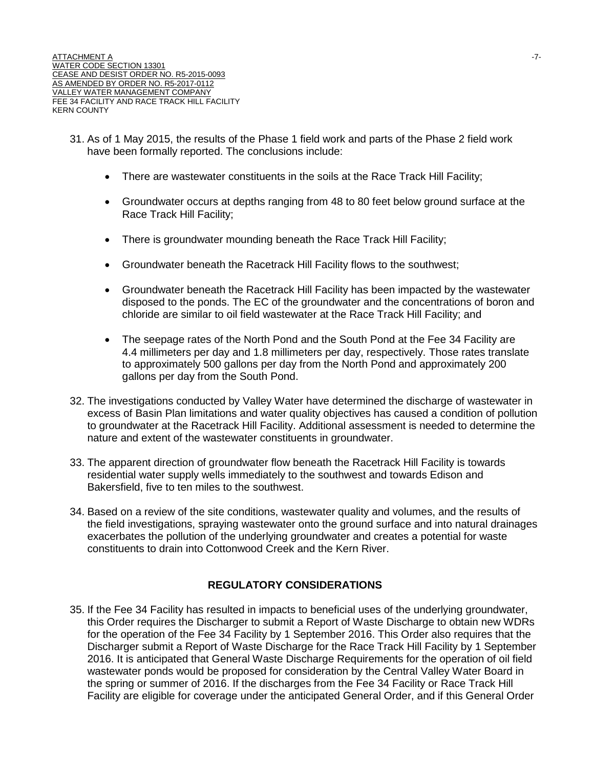- 31. As of 1 May 2015, the results of the Phase 1 field work and parts of the Phase 2 field work have been formally reported. The conclusions include:
	- There are wastewater constituents in the soils at the Race Track Hill Facility;
	- Groundwater occurs at depths ranging from 48 to 80 feet below ground surface at the Race Track Hill Facility;
	- There is groundwater mounding beneath the Race Track Hill Facility;
	- Groundwater beneath the Racetrack Hill Facility flows to the southwest;
	- Groundwater beneath the Racetrack Hill Facility has been impacted by the wastewater disposed to the ponds. The EC of the groundwater and the concentrations of boron and chloride are similar to oil field wastewater at the Race Track Hill Facility; and
	- The seepage rates of the North Pond and the South Pond at the Fee 34 Facility are 4.4 millimeters per day and 1.8 millimeters per day, respectively. Those rates translate to approximately 500 gallons per day from the North Pond and approximately 200 gallons per day from the South Pond.
- 32. The investigations conducted by Valley Water have determined the discharge of wastewater in excess of Basin Plan limitations and water quality objectives has caused a condition of pollution to groundwater at the Racetrack Hill Facility. Additional assessment is needed to determine the nature and extent of the wastewater constituents in groundwater.
- 33. The apparent direction of groundwater flow beneath the Racetrack Hill Facility is towards residential water supply wells immediately to the southwest and towards Edison and Bakersfield, five to ten miles to the southwest.
- 34. Based on a review of the site conditions, wastewater quality and volumes, and the results of the field investigations, spraying wastewater onto the ground surface and into natural drainages exacerbates the pollution of the underlying groundwater and creates a potential for waste constituents to drain into Cottonwood Creek and the Kern River.

#### **REGULATORY CONSIDERATIONS**

35. If the Fee 34 Facility has resulted in impacts to beneficial uses of the underlying groundwater, this Order requires the Discharger to submit a Report of Waste Discharge to obtain new WDRs for the operation of the Fee 34 Facility by 1 September 2016. This Order also requires that the Discharger submit a Report of Waste Discharge for the Race Track Hill Facility by 1 September 2016. It is anticipated that General Waste Discharge Requirements for the operation of oil field wastewater ponds would be proposed for consideration by the Central Valley Water Board in the spring or summer of 2016. If the discharges from the Fee 34 Facility or Race Track Hill Facility are eligible for coverage under the anticipated General Order, and if this General Order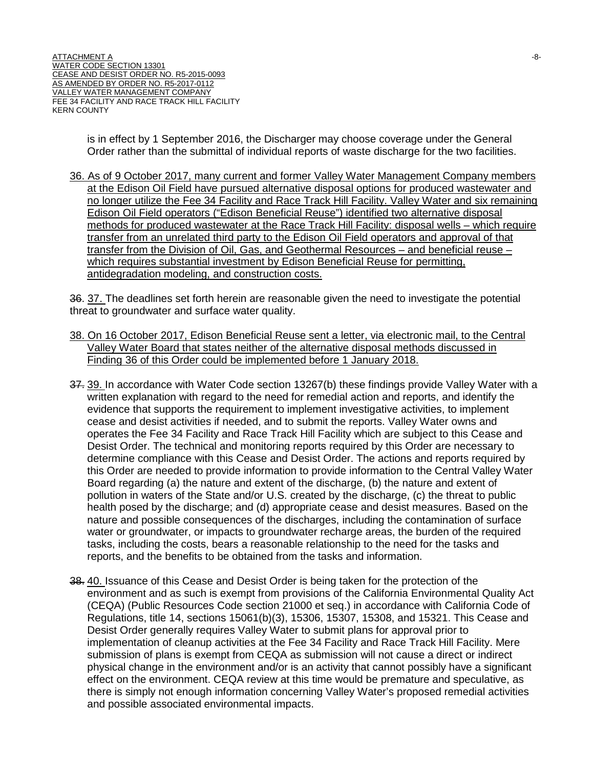is in effect by 1 September 2016, the Discharger may choose coverage under the General Order rather than the submittal of individual reports of waste discharge for the two facilities.

36. As of 9 October 2017, many current and former Valley Water Management Company members at the Edison Oil Field have pursued alternative disposal options for produced wastewater and no longer utilize the Fee 34 Facility and Race Track Hill Facility. Valley Water and six remaining Edison Oil Field operators ("Edison Beneficial Reuse") identified two alternative disposal methods for produced wastewater at the Race Track Hill Facility: disposal wells – which require transfer from an unrelated third party to the Edison Oil Field operators and approval of that transfer from the Division of Oil, Gas, and Geothermal Resources – and beneficial reuse – which requires substantial investment by Edison Beneficial Reuse for permitting, antidegradation modeling, and construction costs.

36. 37. The deadlines set forth herein are reasonable given the need to investigate the potential threat to groundwater and surface water quality.

- 38. On 16 October 2017, Edison Beneficial Reuse sent a letter, via electronic mail, to the Central Valley Water Board that states neither of the alternative disposal methods discussed in Finding 36 of this Order could be implemented before 1 January 2018.
- 37. 39. In accordance with Water Code section 13267(b) these findings provide Valley Water with a written explanation with regard to the need for remedial action and reports, and identify the evidence that supports the requirement to implement investigative activities, to implement cease and desist activities if needed, and to submit the reports. Valley Water owns and operates the Fee 34 Facility and Race Track Hill Facility which are subject to this Cease and Desist Order. The technical and monitoring reports required by this Order are necessary to determine compliance with this Cease and Desist Order. The actions and reports required by this Order are needed to provide information to provide information to the Central Valley Water Board regarding (a) the nature and extent of the discharge, (b) the nature and extent of pollution in waters of the State and/or U.S. created by the discharge, (c) the threat to public health posed by the discharge; and (d) appropriate cease and desist measures. Based on the nature and possible consequences of the discharges, including the contamination of surface water or groundwater, or impacts to groundwater recharge areas, the burden of the required tasks, including the costs, bears a reasonable relationship to the need for the tasks and reports, and the benefits to be obtained from the tasks and information.
- 38. 40. Issuance of this Cease and Desist Order is being taken for the protection of the environment and as such is exempt from provisions of the California Environmental Quality Act (CEQA) (Public Resources Code section 21000 et seq.) in accordance with California Code of Regulations, title 14, sections 15061(b)(3), 15306, 15307, 15308, and 15321. This Cease and Desist Order generally requires Valley Water to submit plans for approval prior to implementation of cleanup activities at the Fee 34 Facility and Race Track Hill Facility. Mere submission of plans is exempt from CEQA as submission will not cause a direct or indirect physical change in the environment and/or is an activity that cannot possibly have a significant effect on the environment. CEQA review at this time would be premature and speculative, as there is simply not enough information concerning Valley Water's proposed remedial activities and possible associated environmental impacts.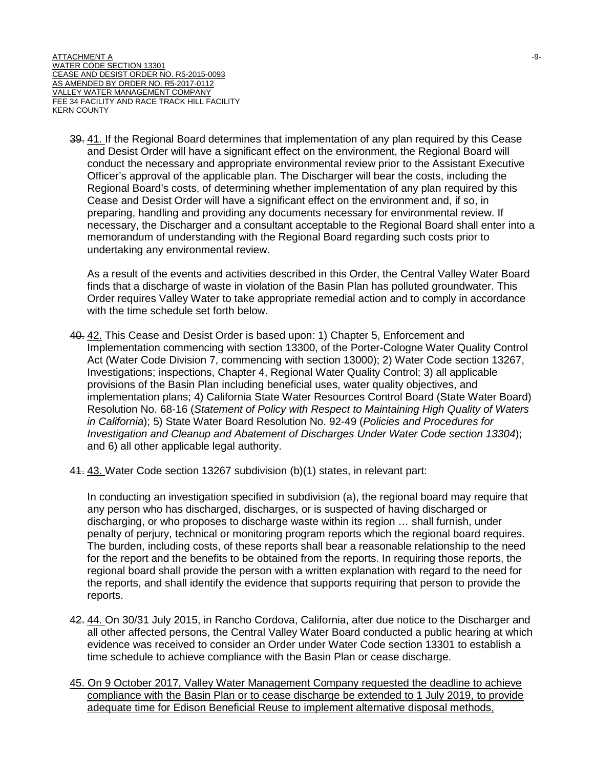39. 41. If the Regional Board determines that implementation of any plan required by this Cease and Desist Order will have a significant effect on the environment, the Regional Board will conduct the necessary and appropriate environmental review prior to the Assistant Executive Officer's approval of the applicable plan. The Discharger will bear the costs, including the Regional Board's costs, of determining whether implementation of any plan required by this Cease and Desist Order will have a significant effect on the environment and, if so, in preparing, handling and providing any documents necessary for environmental review. If necessary, the Discharger and a consultant acceptable to the Regional Board shall enter into a memorandum of understanding with the Regional Board regarding such costs prior to undertaking any environmental review.

As a result of the events and activities described in this Order, the Central Valley Water Board finds that a discharge of waste in violation of the Basin Plan has polluted groundwater. This Order requires Valley Water to take appropriate remedial action and to comply in accordance with the time schedule set forth below.

- 40. 42. This Cease and Desist Order is based upon: 1) Chapter 5, Enforcement and Implementation commencing with section 13300, of the Porter-Cologne Water Quality Control Act (Water Code Division 7, commencing with section 13000); 2) Water Code section 13267, Investigations; inspections, Chapter 4, Regional Water Quality Control; 3) all applicable provisions of the Basin Plan including beneficial uses, water quality objectives, and implementation plans; 4) California State Water Resources Control Board (State Water Board) Resolution No. 68-16 (*Statement of Policy with Respect to Maintaining High Quality of Waters in California*); 5) State Water Board Resolution No. 92-49 (*Policies and Procedures for Investigation and Cleanup and Abatement of Discharges Under Water Code section 13304*); and 6) all other applicable legal authority.
- 41. 43. Water Code section 13267 subdivision (b)(1) states, in relevant part:

In conducting an investigation specified in subdivision (a), the regional board may require that any person who has discharged, discharges, or is suspected of having discharged or discharging, or who proposes to discharge waste within its region … shall furnish, under penalty of perjury, technical or monitoring program reports which the regional board requires. The burden, including costs, of these reports shall bear a reasonable relationship to the need for the report and the benefits to be obtained from the reports. In requiring those reports, the regional board shall provide the person with a written explanation with regard to the need for the reports, and shall identify the evidence that supports requiring that person to provide the reports.

- 42. 44. On 30/31 July 2015, in Rancho Cordova, California, after due notice to the Discharger and all other affected persons, the Central Valley Water Board conducted a public hearing at which evidence was received to consider an Order under Water Code section 13301 to establish a time schedule to achieve compliance with the Basin Plan or cease discharge.
- 45. On 9 October 2017, Valley Water Management Company requested the deadline to achieve compliance with the Basin Plan or to cease discharge be extended to 1 July 2019, to provide adequate time for Edison Beneficial Reuse to implement alternative disposal methods,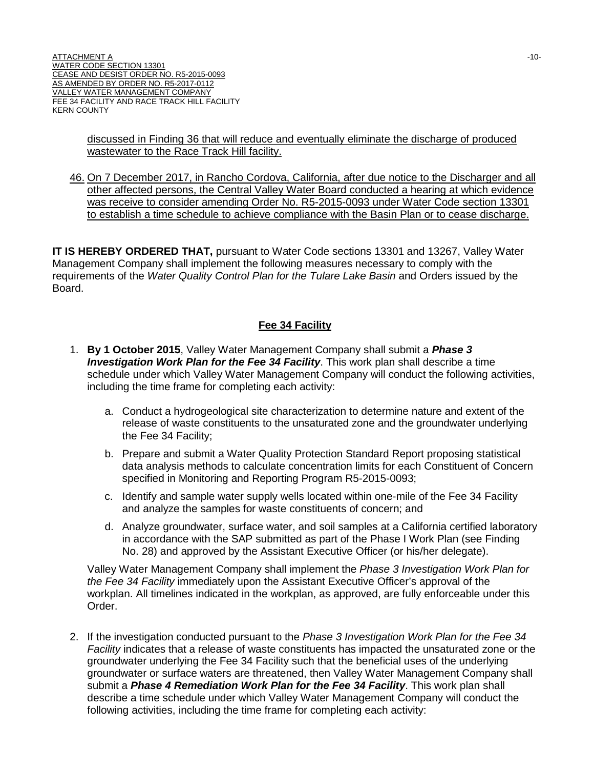discussed in Finding 36 that will reduce and eventually eliminate the discharge of produced wastewater to the Race Track Hill facility.

46. On 7 December 2017, in Rancho Cordova, California, after due notice to the Discharger and all other affected persons, the Central Valley Water Board conducted a hearing at which evidence was receive to consider amending Order No. R5-2015-0093 under Water Code section 13301 to establish a time schedule to achieve compliance with the Basin Plan or to cease discharge.

**IT IS HEREBY ORDERED THAT,** pursuant to Water Code sections 13301 and 13267, Valley Water Management Company shall implement the following measures necessary to comply with the requirements of the *Water Quality Control Plan for the Tulare Lake Basin* and Orders issued by the Board.

#### **Fee 34 Facility**

- 1. **By 1 October 2015**, Valley Water Management Company shall submit a *Phase 3 Investigation Work Plan for the Fee 34 Facility*. This work plan shall describe a time schedule under which Valley Water Management Company will conduct the following activities, including the time frame for completing each activity:
	- a. Conduct a hydrogeological site characterization to determine nature and extent of the release of waste constituents to the unsaturated zone and the groundwater underlying the Fee 34 Facility;
	- b. Prepare and submit a Water Quality Protection Standard Report proposing statistical data analysis methods to calculate concentration limits for each Constituent of Concern specified in Monitoring and Reporting Program R5-2015-0093;
	- c. Identify and sample water supply wells located within one-mile of the Fee 34 Facility and analyze the samples for waste constituents of concern; and
	- d. Analyze groundwater, surface water, and soil samples at a California certified laboratory in accordance with the SAP submitted as part of the Phase I Work Plan (see Finding No. 28) and approved by the Assistant Executive Officer (or his/her delegate).

Valley Water Management Company shall implement the *Phase 3 Investigation Work Plan for the Fee 34 Facility* immediately upon the Assistant Executive Officer's approval of the workplan. All timelines indicated in the workplan, as approved, are fully enforceable under this Order.

2. If the investigation conducted pursuant to the *Phase 3 Investigation Work Plan for the Fee 34 Facility* indicates that a release of waste constituents has impacted the unsaturated zone or the groundwater underlying the Fee 34 Facility such that the beneficial uses of the underlying groundwater or surface waters are threatened, then Valley Water Management Company shall submit a *Phase 4 Remediation Work Plan for the Fee 34 Facility*. This work plan shall describe a time schedule under which Valley Water Management Company will conduct the following activities, including the time frame for completing each activity: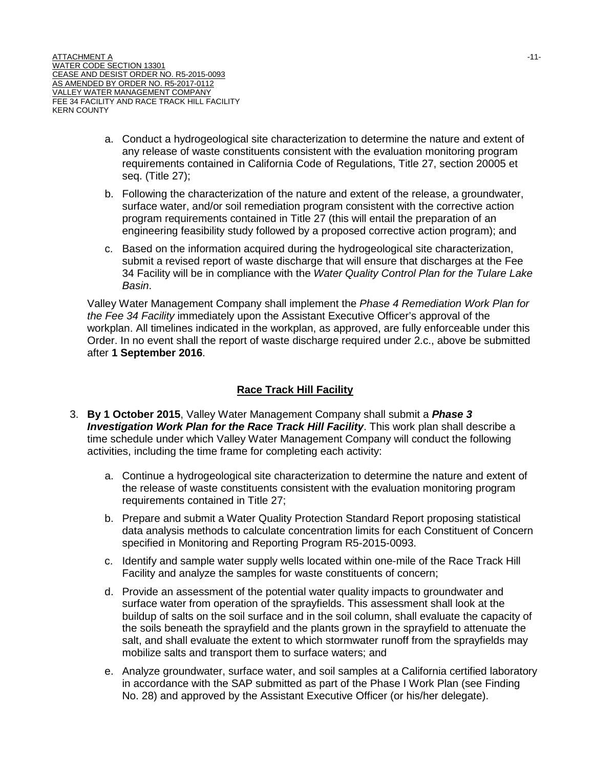- a. Conduct a hydrogeological site characterization to determine the nature and extent of any release of waste constituents consistent with the evaluation monitoring program requirements contained in California Code of Regulations, Title 27, section 20005 et seq. (Title 27);
- b. Following the characterization of the nature and extent of the release, a groundwater, surface water, and/or soil remediation program consistent with the corrective action program requirements contained in Title 27 (this will entail the preparation of an engineering feasibility study followed by a proposed corrective action program); and
- c. Based on the information acquired during the hydrogeological site characterization, submit a revised report of waste discharge that will ensure that discharges at the Fee 34 Facility will be in compliance with the *Water Quality Control Plan for the Tulare Lake Basin*.

Valley Water Management Company shall implement the *Phase 4 Remediation Work Plan for the Fee 34 Facility* immediately upon the Assistant Executive Officer's approval of the workplan. All timelines indicated in the workplan, as approved, are fully enforceable under this Order. In no event shall the report of waste discharge required under 2.c., above be submitted after **1 September 2016**.

## **Race Track Hill Facility**

- 3. **By 1 October 2015**, Valley Water Management Company shall submit a *Phase 3 Investigation Work Plan for the Race Track Hill Facility*. This work plan shall describe a time schedule under which Valley Water Management Company will conduct the following activities, including the time frame for completing each activity:
	- a. Continue a hydrogeological site characterization to determine the nature and extent of the release of waste constituents consistent with the evaluation monitoring program requirements contained in Title 27;
	- b. Prepare and submit a Water Quality Protection Standard Report proposing statistical data analysis methods to calculate concentration limits for each Constituent of Concern specified in Monitoring and Reporting Program R5-2015-0093.
	- c. Identify and sample water supply wells located within one-mile of the Race Track Hill Facility and analyze the samples for waste constituents of concern;
	- d. Provide an assessment of the potential water quality impacts to groundwater and surface water from operation of the sprayfields. This assessment shall look at the buildup of salts on the soil surface and in the soil column, shall evaluate the capacity of the soils beneath the sprayfield and the plants grown in the sprayfield to attenuate the salt, and shall evaluate the extent to which stormwater runoff from the sprayfields may mobilize salts and transport them to surface waters; and
	- e. Analyze groundwater, surface water, and soil samples at a California certified laboratory in accordance with the SAP submitted as part of the Phase I Work Plan (see Finding No. 28) and approved by the Assistant Executive Officer (or his/her delegate).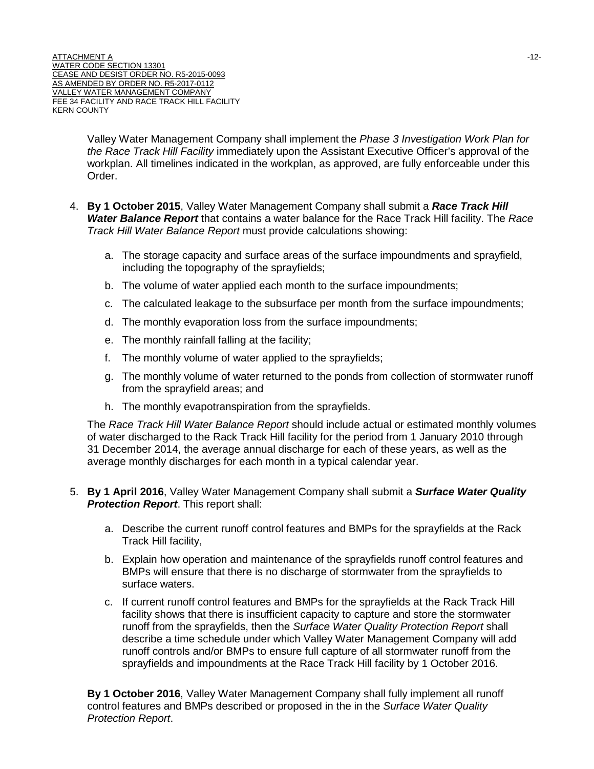Valley Water Management Company shall implement the *Phase 3 Investigation Work Plan for the Race Track Hill Facility* immediately upon the Assistant Executive Officer's approval of the workplan. All timelines indicated in the workplan, as approved, are fully enforceable under this Order.

- 4. **By 1 October 2015**, Valley Water Management Company shall submit a *Race Track Hill Water Balance Report* that contains a water balance for the Race Track Hill facility. The *Race Track Hill Water Balance Report* must provide calculations showing:
	- a. The storage capacity and surface areas of the surface impoundments and sprayfield, including the topography of the sprayfields;
	- b. The volume of water applied each month to the surface impoundments;
	- c. The calculated leakage to the subsurface per month from the surface impoundments;
	- d. The monthly evaporation loss from the surface impoundments;
	- e. The monthly rainfall falling at the facility;
	- f. The monthly volume of water applied to the sprayfields;
	- g. The monthly volume of water returned to the ponds from collection of stormwater runoff from the sprayfield areas; and
	- h. The monthly evapotranspiration from the sprayfields.

The *Race Track Hill Water Balance Report* should include actual or estimated monthly volumes of water discharged to the Rack Track Hill facility for the period from 1 January 2010 through 31 December 2014, the average annual discharge for each of these years, as well as the average monthly discharges for each month in a typical calendar year.

- 5. **By 1 April 2016**, Valley Water Management Company shall submit a *Surface Water Quality Protection Report*. This report shall:
	- a. Describe the current runoff control features and BMPs for the sprayfields at the Rack Track Hill facility,
	- b. Explain how operation and maintenance of the sprayfields runoff control features and BMPs will ensure that there is no discharge of stormwater from the sprayfields to surface waters.
	- c. If current runoff control features and BMPs for the sprayfields at the Rack Track Hill facility shows that there is insufficient capacity to capture and store the stormwater runoff from the sprayfields, then the *Surface Water Quality Protection Report* shall describe a time schedule under which Valley Water Management Company will add runoff controls and/or BMPs to ensure full capture of all stormwater runoff from the sprayfields and impoundments at the Race Track Hill facility by 1 October 2016.

**By 1 October 2016**, Valley Water Management Company shall fully implement all runoff control features and BMPs described or proposed in the in the *Surface Water Quality Protection Report*.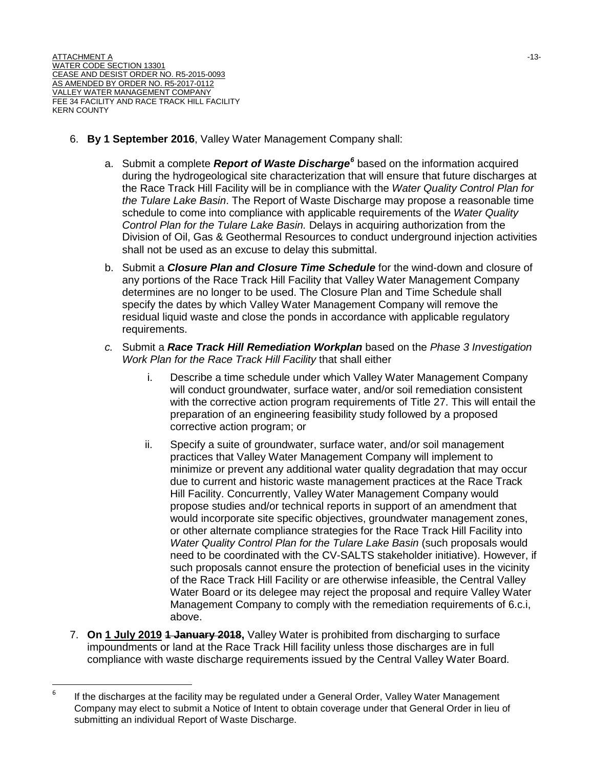- 6. **By 1 September 2016**, Valley Water Management Company shall:
	- a. Submit a complete *Report of Waste Discharge[6](#page-16-0)* based on the information acquired during the hydrogeological site characterization that will ensure that future discharges at the Race Track Hill Facility will be in compliance with the *Water Quality Control Plan for the Tulare Lake Basin*. The Report of Waste Discharge may propose a reasonable time schedule to come into compliance with applicable requirements of the *Water Quality Control Plan for the Tulare Lake Basin.* Delays in acquiring authorization from the Division of Oil, Gas & Geothermal Resources to conduct underground injection activities shall not be used as an excuse to delay this submittal.
	- b. Submit a *Closure Plan and Closure Time Schedule* for the wind-down and closure of any portions of the Race Track Hill Facility that Valley Water Management Company determines are no longer to be used. The Closure Plan and Time Schedule shall specify the dates by which Valley Water Management Company will remove the residual liquid waste and close the ponds in accordance with applicable regulatory requirements.
	- *c.* Submit a *Race Track Hill Remediation Workplan* based on the *Phase 3 Investigation Work Plan for the Race Track Hill Facility* that shall either
		- i. Describe a time schedule under which Valley Water Management Company will conduct groundwater, surface water, and/or soil remediation consistent with the corrective action program requirements of Title 27. This will entail the preparation of an engineering feasibility study followed by a proposed corrective action program; or
		- ii. Specify a suite of groundwater, surface water, and/or soil management practices that Valley Water Management Company will implement to minimize or prevent any additional water quality degradation that may occur due to current and historic waste management practices at the Race Track Hill Facility. Concurrently, Valley Water Management Company would propose studies and/or technical reports in support of an amendment that would incorporate site specific objectives, groundwater management zones, or other alternate compliance strategies for the Race Track Hill Facility into *Water Quality Control Plan for the Tulare Lake Basin (such proposals would* need to be coordinated with the CV-SALTS stakeholder initiative). However, if such proposals cannot ensure the protection of beneficial uses in the vicinity of the Race Track Hill Facility or are otherwise infeasible, the Central Valley Water Board or its delegee may reject the proposal and require Valley Water Management Company to comply with the remediation requirements of 6.c.i, above.
- 7. **On 1 July 2019 1 January 2018,** Valley Water is prohibited from discharging to surface impoundments or land at the Race Track Hill facility unless those discharges are in full compliance with waste discharge requirements issued by the Central Valley Water Board.

<span id="page-16-0"></span> $6$  If the discharges at the facility may be regulated under a General Order, Valley Water Management Company may elect to submit a Notice of Intent to obtain coverage under that General Order in lieu of submitting an individual Report of Waste Discharge.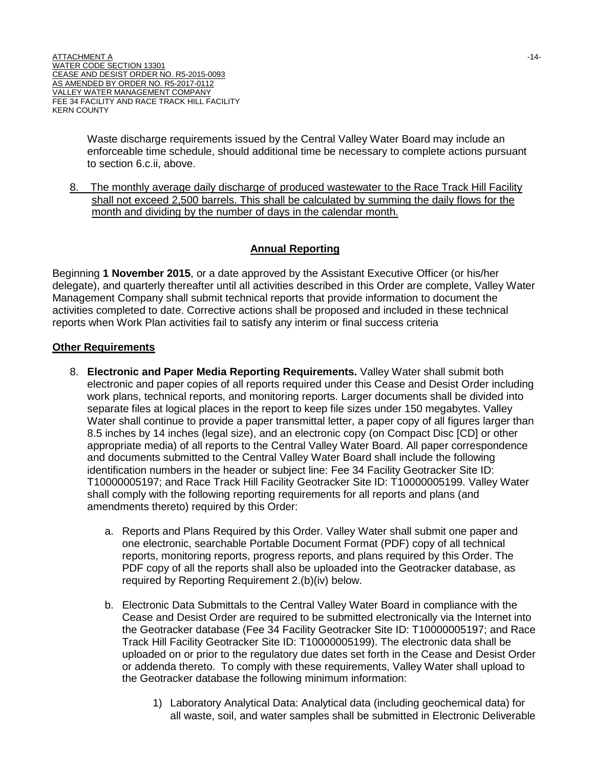Waste discharge requirements issued by the Central Valley Water Board may include an enforceable time schedule, should additional time be necessary to complete actions pursuant to section 6.c.ii, above.

8. The monthly average daily discharge of produced wastewater to the Race Track Hill Facility shall not exceed 2,500 barrels. This shall be calculated by summing the daily flows for the month and dividing by the number of days in the calendar month.

#### **Annual Reporting**

Beginning **1 November 2015**, or a date approved by the Assistant Executive Officer (or his/her delegate), and quarterly thereafter until all activities described in this Order are complete, Valley Water Management Company shall submit technical reports that provide information to document the activities completed to date. Corrective actions shall be proposed and included in these technical reports when Work Plan activities fail to satisfy any interim or final success criteria

#### **Other Requirements**

- 8. **Electronic and Paper Media Reporting Requirements.** Valley Water shall submit both electronic and paper copies of all reports required under this Cease and Desist Order including work plans, technical reports, and monitoring reports. Larger documents shall be divided into separate files at logical places in the report to keep file sizes under 150 megabytes. Valley Water shall continue to provide a paper transmittal letter, a paper copy of all figures larger than 8.5 inches by 14 inches (legal size), and an electronic copy (on Compact Disc [CD] or other appropriate media) of all reports to the Central Valley Water Board. All paper correspondence and documents submitted to the Central Valley Water Board shall include the following identification numbers in the header or subject line: Fee 34 Facility Geotracker Site ID: T10000005197; and Race Track Hill Facility Geotracker Site ID: T10000005199. Valley Water shall comply with the following reporting requirements for all reports and plans (and amendments thereto) required by this Order:
	- a. Reports and Plans Required by this Order. Valley Water shall submit one paper and one electronic, searchable Portable Document Format (PDF) copy of all technical reports, monitoring reports, progress reports, and plans required by this Order. The PDF copy of all the reports shall also be uploaded into the Geotracker database, as required by Reporting Requirement 2.(b)(iv) below.
	- b. Electronic Data Submittals to the Central Valley Water Board in compliance with the Cease and Desist Order are required to be submitted electronically via the Internet into the Geotracker database (Fee 34 Facility Geotracker Site ID: T10000005197; and Race Track Hill Facility Geotracker Site ID: T10000005199). The electronic data shall be uploaded on or prior to the regulatory due dates set forth in the Cease and Desist Order or addenda thereto. To comply with these requirements, Valley Water shall upload to the Geotracker database the following minimum information:
		- 1) Laboratory Analytical Data: Analytical data (including geochemical data) for all waste, soil, and water samples shall be submitted in Electronic Deliverable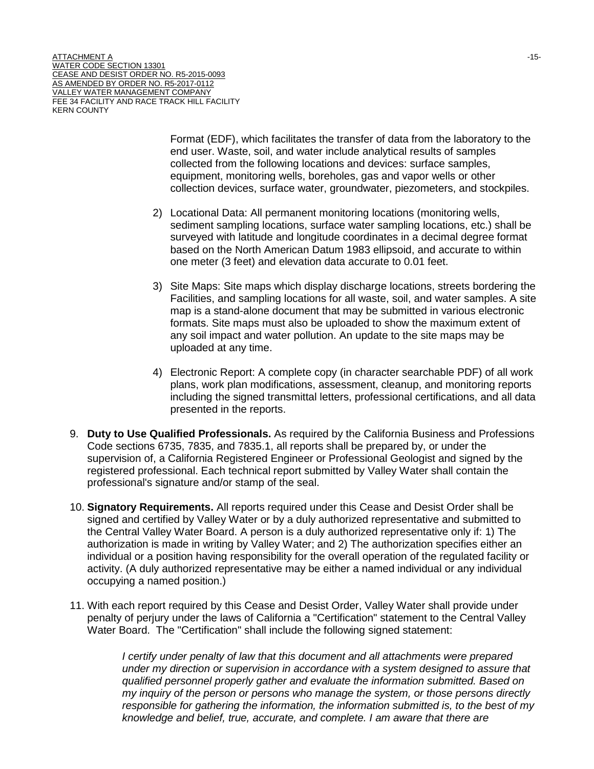Format (EDF), which facilitates the transfer of data from the laboratory to the end user. Waste, soil, and water include analytical results of samples collected from the following locations and devices: surface samples, equipment, monitoring wells, boreholes, gas and vapor wells or other collection devices, surface water, groundwater, piezometers, and stockpiles.

- 2) Locational Data: All permanent monitoring locations (monitoring wells, sediment sampling locations, surface water sampling locations, etc.) shall be surveyed with latitude and longitude coordinates in a decimal degree format based on the North American Datum 1983 ellipsoid, and accurate to within one meter (3 feet) and elevation data accurate to 0.01 feet.
- 3) Site Maps: Site maps which display discharge locations, streets bordering the Facilities, and sampling locations for all waste, soil, and water samples. A site map is a stand-alone document that may be submitted in various electronic formats. Site maps must also be uploaded to show the maximum extent of any soil impact and water pollution. An update to the site maps may be uploaded at any time.
- 4) Electronic Report: A complete copy (in character searchable PDF) of all work plans, work plan modifications, assessment, cleanup, and monitoring reports including the signed transmittal letters, professional certifications, and all data presented in the reports.
- 9. **Duty to Use Qualified Professionals.** As required by the California Business and Professions Code sections 6735, 7835, and 7835.1, all reports shall be prepared by, or under the supervision of, a California Registered Engineer or Professional Geologist and signed by the registered professional. Each technical report submitted by Valley Water shall contain the professional's signature and/or stamp of the seal.
- 10. **Signatory Requirements.** All reports required under this Cease and Desist Order shall be signed and certified by Valley Water or by a duly authorized representative and submitted to the Central Valley Water Board. A person is a duly authorized representative only if: 1) The authorization is made in writing by Valley Water; and 2) The authorization specifies either an individual or a position having responsibility for the overall operation of the regulated facility or activity. (A duly authorized representative may be either a named individual or any individual occupying a named position.)
- 11. With each report required by this Cease and Desist Order, Valley Water shall provide under penalty of perjury under the laws of California a "Certification" statement to the Central Valley Water Board. The "Certification" shall include the following signed statement:

*I certify under penalty of law that this document and all attachments were prepared under my direction or supervision in accordance with a system designed to assure that qualified personnel properly gather and evaluate the information submitted. Based on my inquiry of the person or persons who manage the system, or those persons directly responsible for gathering the information, the information submitted is, to the best of my knowledge and belief, true, accurate, and complete. I am aware that there are*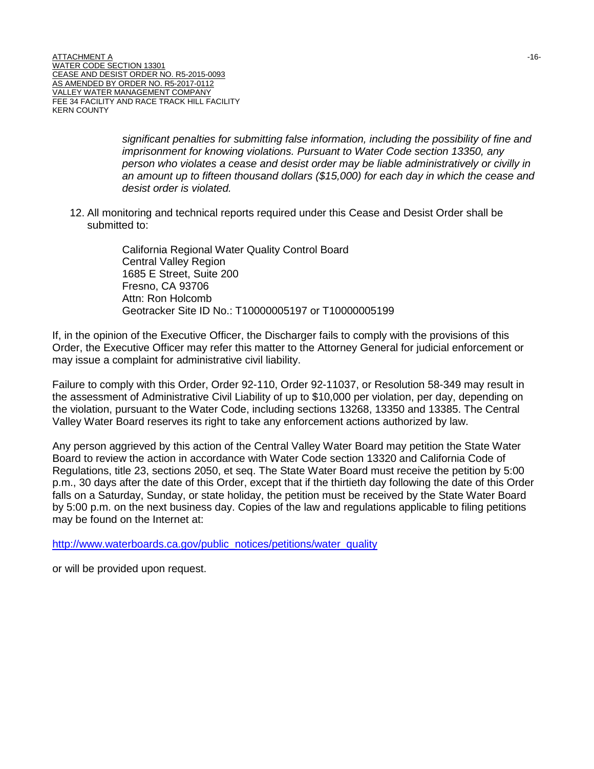*significant penalties for submitting false information, including the possibility of fine and imprisonment for knowing violations. Pursuant to Water Code section 13350, any person who violates a cease and desist order may be liable administratively or civilly in an amount up to fifteen thousand dollars (\$15,000) for each day in which the cease and desist order is violated.*

12. All monitoring and technical reports required under this Cease and Desist Order shall be submitted to:

> California Regional Water Quality Control Board Central Valley Region 1685 E Street, Suite 200 Fresno, CA 93706 Attn: Ron Holcomb Geotracker Site ID No.: T10000005197 or T10000005199

If, in the opinion of the Executive Officer, the Discharger fails to comply with the provisions of this Order, the Executive Officer may refer this matter to the Attorney General for judicial enforcement or may issue a complaint for administrative civil liability.

Failure to comply with this Order, Order 92-110, Order 92-11037, or Resolution 58-349 may result in the assessment of Administrative Civil Liability of up to \$10,000 per violation, per day, depending on the violation, pursuant to the Water Code, including sections 13268, 13350 and 13385. The Central Valley Water Board reserves its right to take any enforcement actions authorized by law.

Any person aggrieved by this action of the Central Valley Water Board may petition the State Water Board to review the action in accordance with Water Code section 13320 and California Code of Regulations, title 23, sections 2050, et seq. The State Water Board must receive the petition by 5:00 p.m., 30 days after the date of this Order, except that if the thirtieth day following the date of this Order falls on a Saturday, Sunday, or state holiday, the petition must be received by the State Water Board by 5:00 p.m. on the next business day. Copies of the law and regulations applicable to filing petitions may be found on the Internet at:

[http://www.waterboards.ca.gov/public\\_notices/petitions/water\\_quality](http://www.waterboards.ca.gov/public_notices/petitions/water_quality)

or will be provided upon request.